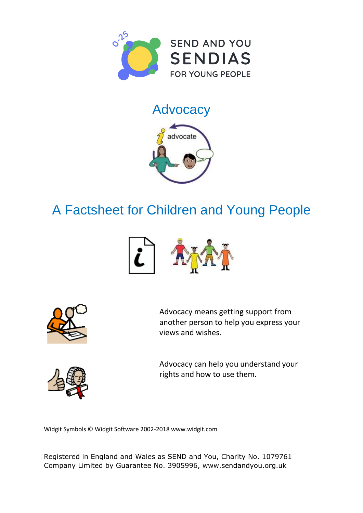

## **Advocacy**



## A Factsheet for Children and Young People





Advocacy means getting support from another person to help you express your views and wishes.



Advocacy can help you understand your rights and how to use them.

Widgit Symbols © Widgit Software 2002-2018 [www.widgit.com](http://www.widgit.com)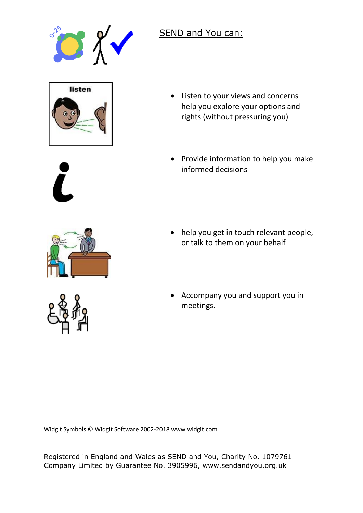

## SEND and You can:



- Listen to your views and concerns help you explore your options and rights (without pressuring you)
- Provide information to help you make informed decisions



- help you get in touch relevant people, or talk to them on your behalf
- Accompany you and support you in meetings.

Widgit Symbols © Widgit Software 2002-2018 [www.widgit.com](http://www.widgit.com) 

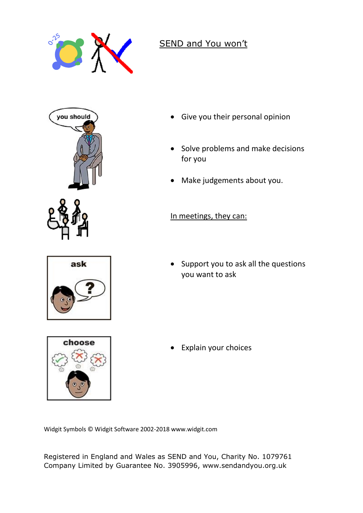

## SEND and You won't







- Give you their personal opinion
- Solve problems and make decisions for you
- Make judgements about you.

In meetings, they can:

• Support you to ask all the questions you want to ask

Explain your choices

Widgit Symbols © Widgit Software 2002-2018 [www.widgit.com](http://www.widgit.com)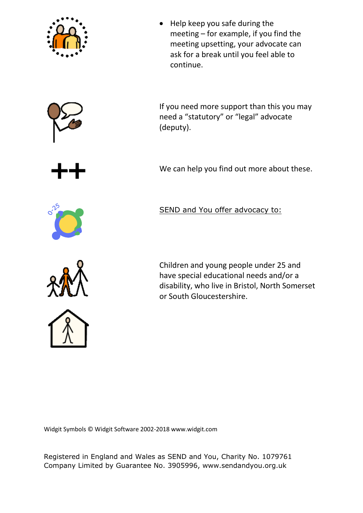







meeting – for example, if you find the meeting upsetting, your advocate can ask for a break until you feel able to

• Help keep you safe during the

If you need more support than this you may need a "statutory" or "legal" advocate (deputy).

We can help you find out more about these.



SEND and You offer advocacy to:



Children and young people under 25 and have special educational needs and/or a disability, who live in Bristol, North Somerset or South Gloucestershire.

Widgit Symbols © Widgit Software 2002-2018 [www.widgit.com](http://www.widgit.com)